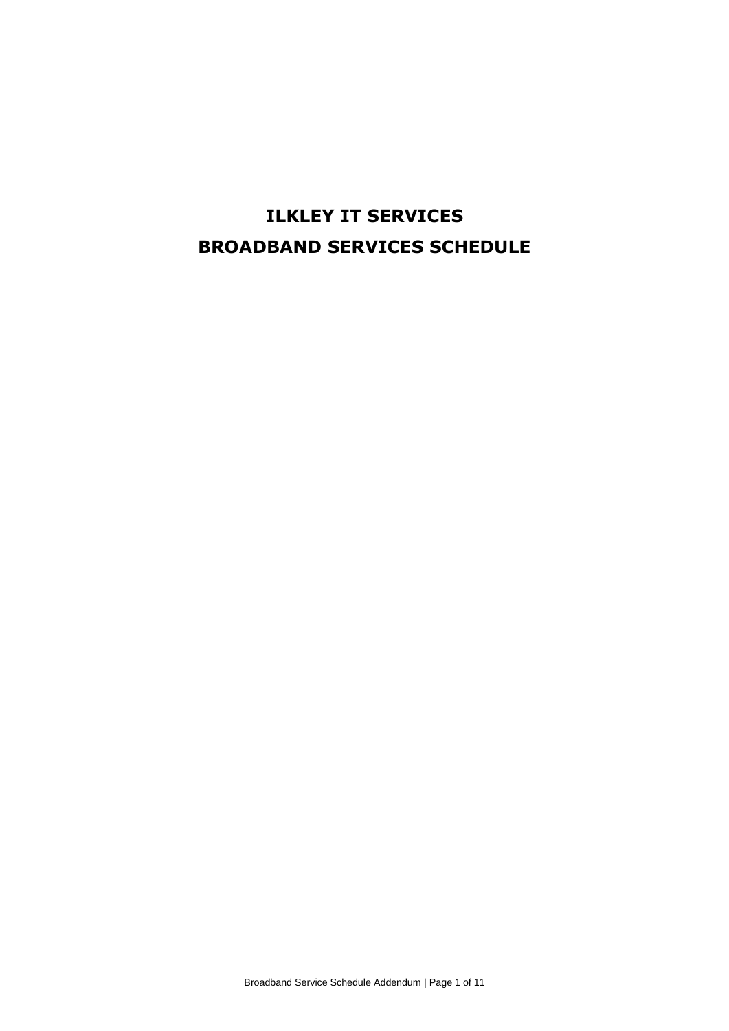# **ILKLEY IT SERVICES BROADBAND SERVICES SCHEDULE**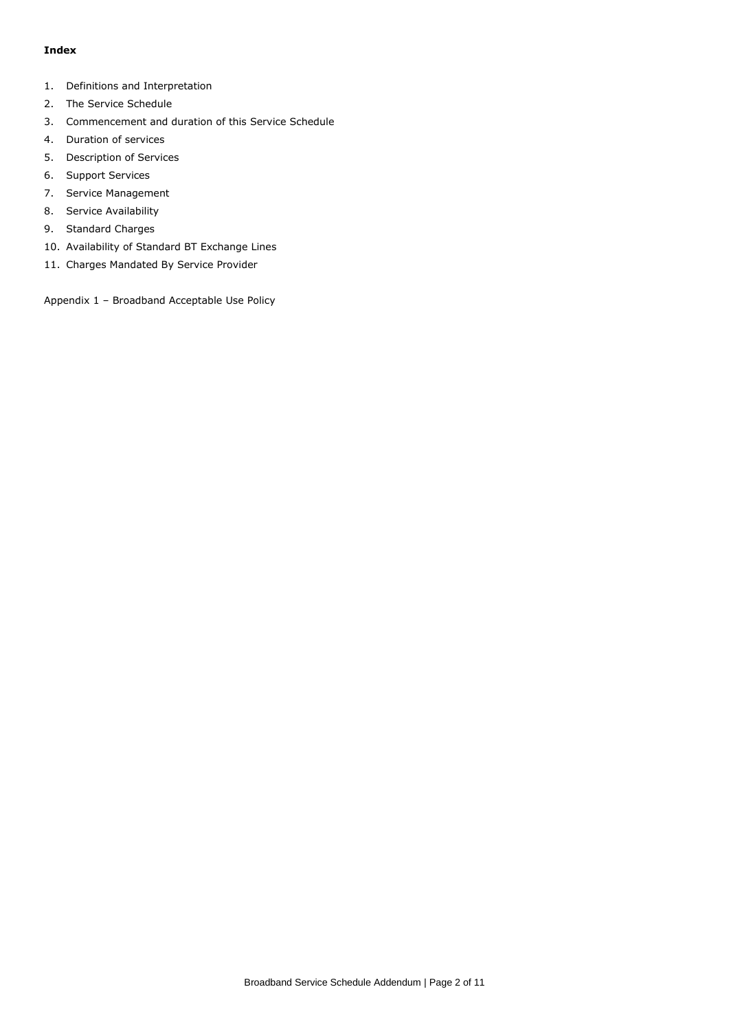# **Index**

- 1. Definitions and Interpretation
- 2. The Service Schedule
- 3. Commencement and duration of this Service Schedule
- 4. Duration of services
- 5. Description of Services
- 6. Support Services
- 7. Service Management
- 8. Service Availability
- 9. Standard Charges
- 10. Availability of Standard BT Exchange Lines
- 11. Charges Mandated By Service Provider

Appendix 1 – Broadband Acceptable Use Policy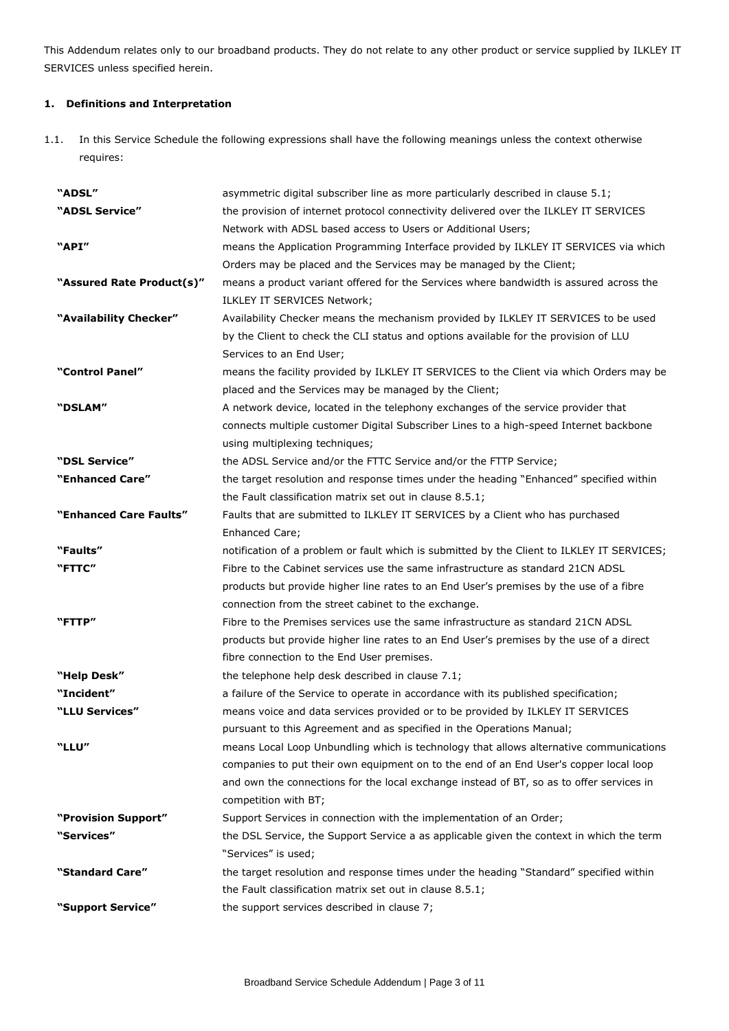This Addendum relates only to our broadband products. They do not relate to any other product or service supplied by ILKLEY IT SERVICES unless specified herein.

# **1. Definitions and Interpretation**

1.1. In this Service Schedule the following expressions shall have the following meanings unless the context otherwise requires:

| "ADSL"                    | asymmetric digital subscriber line as more particularly described in clause 5.1;           |  |  |
|---------------------------|--------------------------------------------------------------------------------------------|--|--|
| "ADSL Service"            | the provision of internet protocol connectivity delivered over the ILKLEY IT SERVICES      |  |  |
|                           | Network with ADSL based access to Users or Additional Users;                               |  |  |
| "API"                     | means the Application Programming Interface provided by ILKLEY IT SERVICES via which       |  |  |
|                           | Orders may be placed and the Services may be managed by the Client;                        |  |  |
| "Assured Rate Product(s)" | means a product variant offered for the Services where bandwidth is assured across the     |  |  |
|                           | ILKLEY IT SERVICES Network;                                                                |  |  |
| "Availability Checker"    | Availability Checker means the mechanism provided by ILKLEY IT SERVICES to be used         |  |  |
|                           | by the Client to check the CLI status and options available for the provision of LLU       |  |  |
|                           | Services to an End User;                                                                   |  |  |
| "Control Panel"           | means the facility provided by ILKLEY IT SERVICES to the Client via which Orders may be    |  |  |
|                           | placed and the Services may be managed by the Client;                                      |  |  |
| "DSLAM"                   | A network device, located in the telephony exchanges of the service provider that          |  |  |
|                           | connects multiple customer Digital Subscriber Lines to a high-speed Internet backbone      |  |  |
|                           | using multiplexing techniques;                                                             |  |  |
| "DSL Service"             | the ADSL Service and/or the FTTC Service and/or the FTTP Service;                          |  |  |
| "Enhanced Care"           | the target resolution and response times under the heading "Enhanced" specified within     |  |  |
|                           | the Fault classification matrix set out in clause 8.5.1;                                   |  |  |
| "Enhanced Care Faults"    | Faults that are submitted to ILKLEY IT SERVICES by a Client who has purchased              |  |  |
|                           | Enhanced Care;                                                                             |  |  |
| "Faults"                  | notification of a problem or fault which is submitted by the Client to ILKLEY IT SERVICES; |  |  |
| "FTTC"                    | Fibre to the Cabinet services use the same infrastructure as standard 21CN ADSL            |  |  |
|                           | products but provide higher line rates to an End User's premises by the use of a fibre     |  |  |
|                           | connection from the street cabinet to the exchange.                                        |  |  |
| "FTTP"                    | Fibre to the Premises services use the same infrastructure as standard 21CN ADSL           |  |  |
|                           | products but provide higher line rates to an End User's premises by the use of a direct    |  |  |
|                           | fibre connection to the End User premises.                                                 |  |  |
| "Help Desk"               | the telephone help desk described in clause 7.1;                                           |  |  |
| "Incident"                | a failure of the Service to operate in accordance with its published specification;        |  |  |
| "LLU Services"            | means voice and data services provided or to be provided by ILKLEY IT SERVICES             |  |  |
|                           | pursuant to this Agreement and as specified in the Operations Manual;                      |  |  |
| "LLU"                     | means Local Loop Unbundling which is technology that allows alternative communications     |  |  |
|                           | companies to put their own equipment on to the end of an End User's copper local loop      |  |  |
|                           | and own the connections for the local exchange instead of BT, so as to offer services in   |  |  |
|                           | competition with BT;                                                                       |  |  |
| "Provision Support"       | Support Services in connection with the implementation of an Order;                        |  |  |
| "Services"                | the DSL Service, the Support Service a as applicable given the context in which the term   |  |  |
|                           | "Services" is used;                                                                        |  |  |
| "Standard Care"           | the target resolution and response times under the heading "Standard" specified within     |  |  |
|                           | the Fault classification matrix set out in clause 8.5.1;                                   |  |  |
| "Support Service"         | the support services described in clause 7;                                                |  |  |
|                           |                                                                                            |  |  |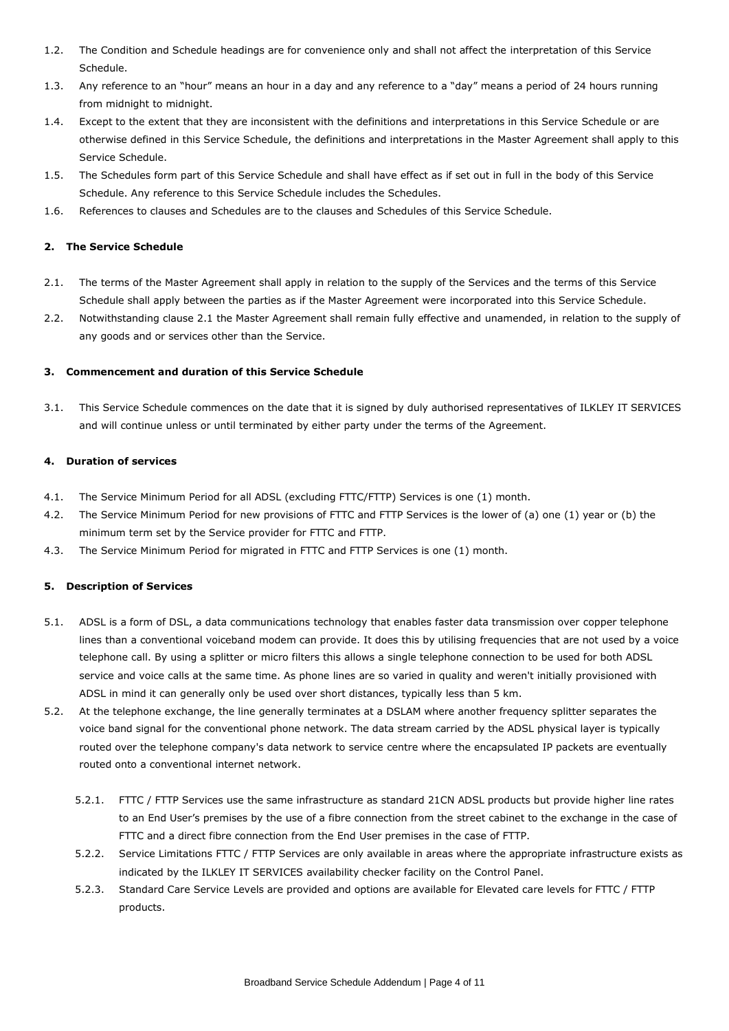- 1.2. The Condition and Schedule headings are for convenience only and shall not affect the interpretation of this Service Schedule.
- 1.3. Any reference to an "hour" means an hour in a day and any reference to a "day" means a period of 24 hours running from midnight to midnight.
- 1.4. Except to the extent that they are inconsistent with the definitions and interpretations in this Service Schedule or are otherwise defined in this Service Schedule, the definitions and interpretations in the Master Agreement shall apply to this Service Schedule.
- 1.5. The Schedules form part of this Service Schedule and shall have effect as if set out in full in the body of this Service Schedule. Any reference to this Service Schedule includes the Schedules.
- 1.6. References to clauses and Schedules are to the clauses and Schedules of this Service Schedule.

# **2. The Service Schedule**

- 2.1. The terms of the Master Agreement shall apply in relation to the supply of the Services and the terms of this Service Schedule shall apply between the parties as if the Master Agreement were incorporated into this Service Schedule.
- 2.2. Notwithstanding clause 2.1 the Master Agreement shall remain fully effective and unamended, in relation to the supply of any goods and or services other than the Service.

#### **3. Commencement and duration of this Service Schedule**

3.1. This Service Schedule commences on the date that it is signed by duly authorised representatives of ILKLEY IT SERVICES and will continue unless or until terminated by either party under the terms of the Agreement.

# **4. Duration of services**

- 4.1. The Service Minimum Period for all ADSL (excluding FTTC/FTTP) Services is one (1) month.
- 4.2. The Service Minimum Period for new provisions of FTTC and FTTP Services is the lower of (a) one (1) year or (b) the minimum term set by the Service provider for FTTC and FTTP.
- 4.3. The Service Minimum Period for migrated in FTTC and FTTP Services is one (1) month.

#### **5. Description of Services**

- 5.1. ADSL is a form of DSL, a data communications technology that enables faster data transmission over copper telephone lines than a conventional voiceband modem can provide. It does this by utilising frequencies that are not used by a voice telephone call. By using a splitter or micro filters this allows a single telephone connection to be used for both ADSL service and voice calls at the same time. As phone lines are so varied in quality and weren't initially provisioned with ADSL in mind it can generally only be used over short distances, typically less than 5 km.
- 5.2. At the telephone exchange, the line generally terminates at a DSLAM where another frequency splitter separates the voice band signal for the conventional phone network. The data stream carried by the ADSL physical layer is typically routed over the telephone company's data network to service centre where the encapsulated IP packets are eventually routed onto a conventional internet network.
	- 5.2.1. FTTC / FTTP Services use the same infrastructure as standard 21CN ADSL products but provide higher line rates to an End User's premises by the use of a fibre connection from the street cabinet to the exchange in the case of FTTC and a direct fibre connection from the End User premises in the case of FTTP.
	- 5.2.2. Service Limitations FTTC / FTTP Services are only available in areas where the appropriate infrastructure exists as indicated by the ILKLEY IT SERVICES availability checker facility on the Control Panel.
	- 5.2.3. Standard Care Service Levels are provided and options are available for Elevated care levels for FTTC / FTTP products.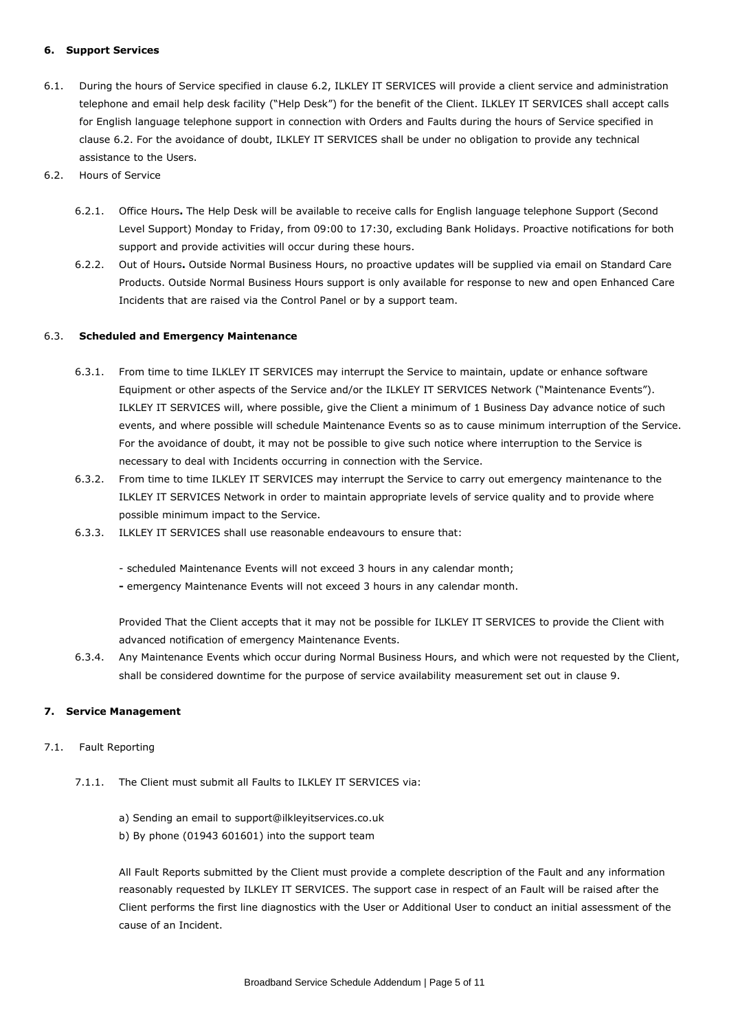# **6. Support Services**

- 6.1. During the hours of Service specified in clause 6.2, ILKLEY IT SERVICES will provide a client service and administration telephone and email help desk facility ("Help Desk") for the benefit of the Client. ILKLEY IT SERVICES shall accept calls for English language telephone support in connection with Orders and Faults during the hours of Service specified in clause 6.2. For the avoidance of doubt, ILKLEY IT SERVICES shall be under no obligation to provide any technical assistance to the Users.
- 6.2. Hours of Service
	- 6.2.1. Office Hours**.** The Help Desk will be available to receive calls for English language telephone Support (Second Level Support) Monday to Friday, from 09:00 to 17:30, excluding Bank Holidays. Proactive notifications for both support and provide activities will occur during these hours.
	- 6.2.2. Out of Hours**.** Outside Normal Business Hours, no proactive updates will be supplied via email on Standard Care Products. Outside Normal Business Hours support is only available for response to new and open Enhanced Care Incidents that are raised via the Control Panel or by a support team.

#### 6.3. **Scheduled and Emergency Maintenance**

- 6.3.1. From time to time ILKLEY IT SERVICES may interrupt the Service to maintain, update or enhance software Equipment or other aspects of the Service and/or the ILKLEY IT SERVICES Network ("Maintenance Events"). ILKLEY IT SERVICES will, where possible, give the Client a minimum of 1 Business Day advance notice of such events, and where possible will schedule Maintenance Events so as to cause minimum interruption of the Service. For the avoidance of doubt, it may not be possible to give such notice where interruption to the Service is necessary to deal with Incidents occurring in connection with the Service.
- 6.3.2. From time to time ILKLEY IT SERVICES may interrupt the Service to carry out emergency maintenance to the ILKLEY IT SERVICES Network in order to maintain appropriate levels of service quality and to provide where possible minimum impact to the Service.
- 6.3.3. ILKLEY IT SERVICES shall use reasonable endeavours to ensure that:

- scheduled Maintenance Events will not exceed 3 hours in any calendar month;

**-** emergency Maintenance Events will not exceed 3 hours in any calendar month.

Provided That the Client accepts that it may not be possible for ILKLEY IT SERVICES to provide the Client with advanced notification of emergency Maintenance Events.

6.3.4. Any Maintenance Events which occur during Normal Business Hours, and which were not requested by the Client, shall be considered downtime for the purpose of service availability measurement set out in clause 9.

#### **7. Service Management**

#### 7.1. Fault Reporting

- 7.1.1. The Client must submit all Faults to ILKLEY IT SERVICES via:
	- a) Sending an email to support@ilkleyitservices.co.uk
	- b) By phone (01943 601601) into the support team

All Fault Reports submitted by the Client must provide a complete description of the Fault and any information reasonably requested by ILKLEY IT SERVICES. The support case in respect of an Fault will be raised after the Client performs the first line diagnostics with the User or Additional User to conduct an initial assessment of the cause of an Incident.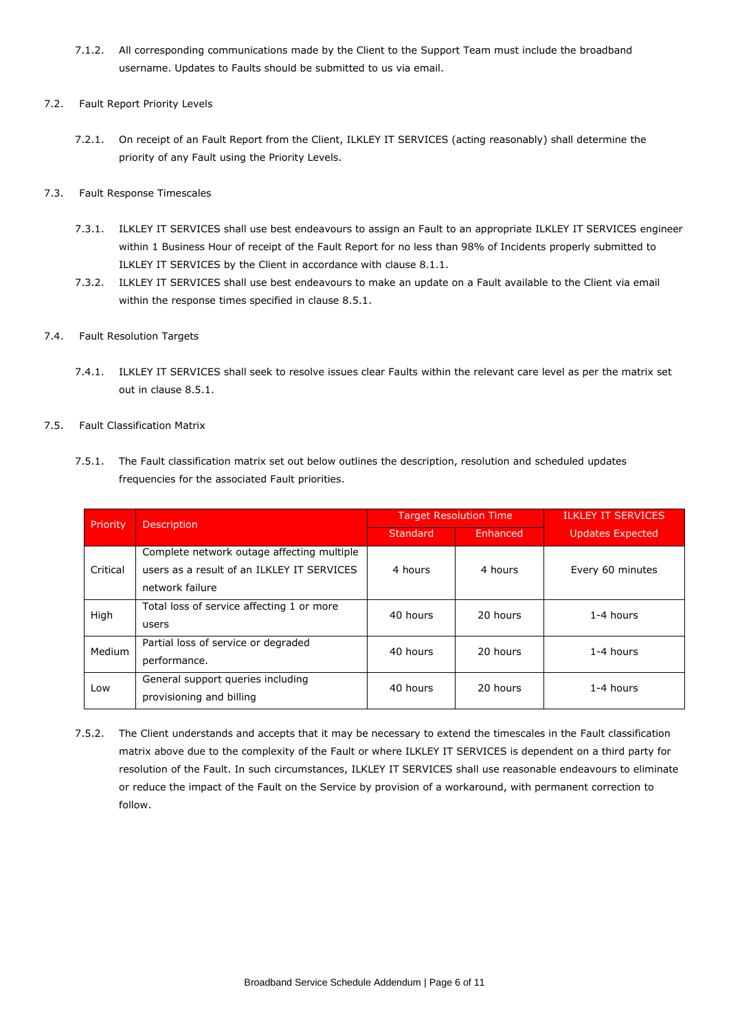7.1.2. All corresponding communications made by the Client to the Support Team must include the broadband username. Updates to Faults should be submitted to us via email.

# 7.2. Fault Report Priority Levels

7.2.1. On receipt of an Fault Report from the Client, ILKLEY IT SERVICES (acting reasonably) shall determine the priority of any Fault using the Priority Levels.

# 7.3. Fault Response Timescales

- 7.3.1. ILKLEY IT SERVICES shall use best endeavours to assign an Fault to an appropriate ILKLEY IT SERVICES engineer within 1 Business Hour of receipt of the Fault Report for no less than 98% of Incidents properly submitted to ILKLEY IT SERVICES by the Client in accordance with clause 8.1.1.
- 7.3.2. ILKLEY IT SERVICES shall use best endeavours to make an update on a Fault available to the Client via email within the response times specified in clause 8.5.1.

# 7.4. Fault Resolution Targets

7.4.1. ILKLEY IT SERVICES shall seek to resolve issues clear Faults within the relevant care level as per the matrix set out in clause 8.5.1.

# 7.5. Fault Classification Matrix

7.5.1. The Fault classification matrix set out below outlines the description, resolution and scheduled updates frequencies for the associated Fault priorities.

| Priority      | <b>Description</b>                                                                                          | <b>Target Resolution Time</b> |          | <b>ILKLEY IT SERVICES</b> |
|---------------|-------------------------------------------------------------------------------------------------------------|-------------------------------|----------|---------------------------|
|               |                                                                                                             | Standard                      | Enhanced | <b>Updates Expected</b>   |
| Critical      | Complete network outage affecting multiple<br>users as a result of an ILKLEY IT SERVICES<br>network failure | 4 hours                       | 4 hours  | Every 60 minutes          |
| High          | Total loss of service affecting 1 or more<br>users                                                          | 40 hours                      | 20 hours | 1-4 hours                 |
| <b>Medium</b> | Partial loss of service or degraded<br>performance.                                                         | 40 hours                      | 20 hours | 1-4 hours                 |
| Low           | General support queries including<br>provisioning and billing                                               | 40 hours                      | 20 hours | 1-4 hours                 |

7.5.2. The Client understands and accepts that it may be necessary to extend the timescales in the Fault classification matrix above due to the complexity of the Fault or where ILKLEY IT SERVICES is dependent on a third party for resolution of the Fault. In such circumstances, ILKLEY IT SERVICES shall use reasonable endeavours to eliminate or reduce the impact of the Fault on the Service by provision of a workaround, with permanent correction to follow.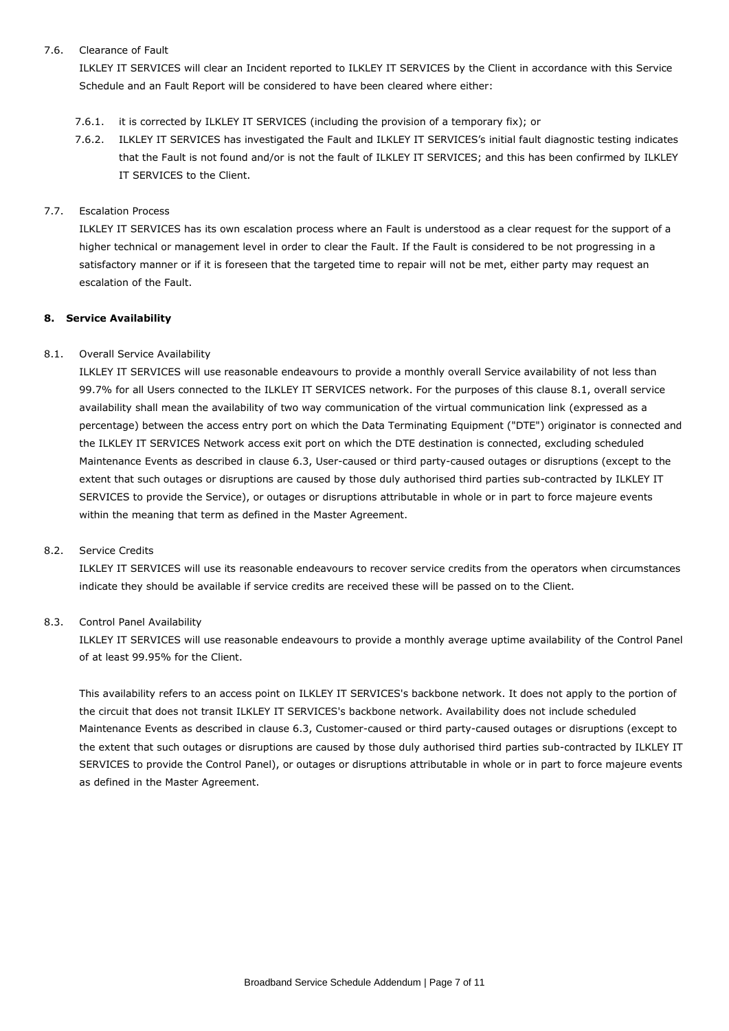# 7.6. Clearance of Fault

ILKLEY IT SERVICES will clear an Incident reported to ILKLEY IT SERVICES by the Client in accordance with this Service Schedule and an Fault Report will be considered to have been cleared where either:

- 7.6.1. it is corrected by ILKLEY IT SERVICES (including the provision of a temporary fix); or
- 7.6.2. ILKLEY IT SERVICES has investigated the Fault and ILKLEY IT SERVICES's initial fault diagnostic testing indicates that the Fault is not found and/or is not the fault of ILKLEY IT SERVICES; and this has been confirmed by ILKLEY IT SERVICES to the Client.

# 7.7. Escalation Process

ILKLEY IT SERVICES has its own escalation process where an Fault is understood as a clear request for the support of a higher technical or management level in order to clear the Fault. If the Fault is considered to be not progressing in a satisfactory manner or if it is foreseen that the targeted time to repair will not be met, either party may request an escalation of the Fault.

# **8. Service Availability**

# 8.1. Overall Service Availability

ILKLEY IT SERVICES will use reasonable endeavours to provide a monthly overall Service availability of not less than 99.7% for all Users connected to the ILKLEY IT SERVICES network. For the purposes of this clause 8.1, overall service availability shall mean the availability of two way communication of the virtual communication link (expressed as a percentage) between the access entry port on which the Data Terminating Equipment ("DTE") originator is connected and the ILKLEY IT SERVICES Network access exit port on which the DTE destination is connected, excluding scheduled Maintenance Events as described in clause 6.3, User-caused or third party-caused outages or disruptions (except to the extent that such outages or disruptions are caused by those duly authorised third parties sub-contracted by ILKLEY IT SERVICES to provide the Service), or outages or disruptions attributable in whole or in part to force majeure events within the meaning that term as defined in the Master Agreement.

#### 8.2. Service Credits

ILKLEY IT SERVICES will use its reasonable endeavours to recover service credits from the operators when circumstances indicate they should be available if service credits are received these will be passed on to the Client.

# 8.3. Control Panel Availability

ILKLEY IT SERVICES will use reasonable endeavours to provide a monthly average uptime availability of the Control Panel of at least 99.95% for the Client.

This availability refers to an access point on ILKLEY IT SERVICES's backbone network. It does not apply to the portion of the circuit that does not transit ILKLEY IT SERVICES's backbone network. Availability does not include scheduled Maintenance Events as described in clause 6.3, Customer-caused or third party-caused outages or disruptions (except to the extent that such outages or disruptions are caused by those duly authorised third parties sub-contracted by ILKLEY IT SERVICES to provide the Control Panel), or outages or disruptions attributable in whole or in part to force majeure events as defined in the Master Agreement.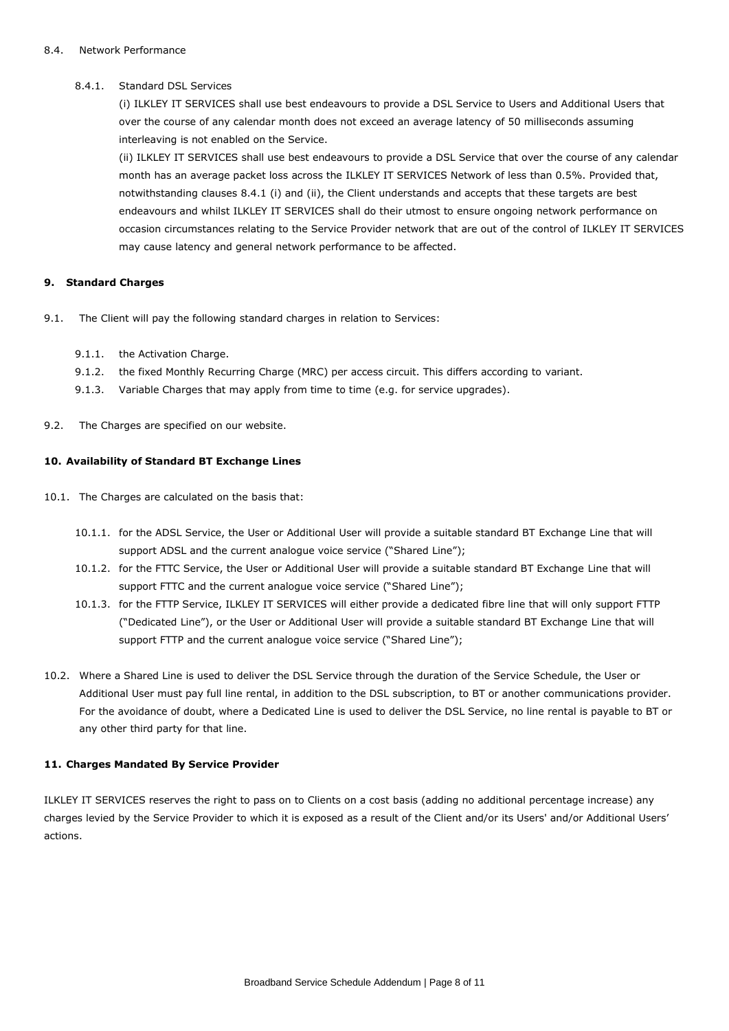# 8.4.1. Standard DSL Services

(i) ILKLEY IT SERVICES shall use best endeavours to provide a DSL Service to Users and Additional Users that over the course of any calendar month does not exceed an average latency of 50 milliseconds assuming interleaving is not enabled on the Service.

(ii) ILKLEY IT SERVICES shall use best endeavours to provide a DSL Service that over the course of any calendar month has an average packet loss across the ILKLEY IT SERVICES Network of less than 0.5%. Provided that, notwithstanding clauses 8.4.1 (i) and (ii), the Client understands and accepts that these targets are best endeavours and whilst ILKLEY IT SERVICES shall do their utmost to ensure ongoing network performance on occasion circumstances relating to the Service Provider network that are out of the control of ILKLEY IT SERVICES may cause latency and general network performance to be affected.

#### **9. Standard Charges**

- 9.1. The Client will pay the following standard charges in relation to Services:
	- 9.1.1. the Activation Charge.
	- 9.1.2. the fixed Monthly Recurring Charge (MRC) per access circuit. This differs according to variant.
	- 9.1.3. Variable Charges that may apply from time to time (e.g. for service upgrades).
- 9.2. The Charges are specified on our website.

# **10. Availability of Standard BT Exchange Lines**

- 10.1. The Charges are calculated on the basis that:
	- 10.1.1. for the ADSL Service, the User or Additional User will provide a suitable standard BT Exchange Line that will support ADSL and the current analogue voice service ("Shared Line");
	- 10.1.2. for the FTTC Service, the User or Additional User will provide a suitable standard BT Exchange Line that will support FTTC and the current analogue voice service ("Shared Line");
	- 10.1.3. for the FTTP Service, ILKLEY IT SERVICES will either provide a dedicated fibre line that will only support FTTP ("Dedicated Line"), or the User or Additional User will provide a suitable standard BT Exchange Line that will support FTTP and the current analogue voice service ("Shared Line");
- 10.2. Where a Shared Line is used to deliver the DSL Service through the duration of the Service Schedule, the User or Additional User must pay full line rental, in addition to the DSL subscription, to BT or another communications provider. For the avoidance of doubt, where a Dedicated Line is used to deliver the DSL Service, no line rental is payable to BT or any other third party for that line.

# **11. Charges Mandated By Service Provider**

ILKLEY IT SERVICES reserves the right to pass on to Clients on a cost basis (adding no additional percentage increase) any charges levied by the Service Provider to which it is exposed as a result of the Client and/or its Users' and/or Additional Users' actions.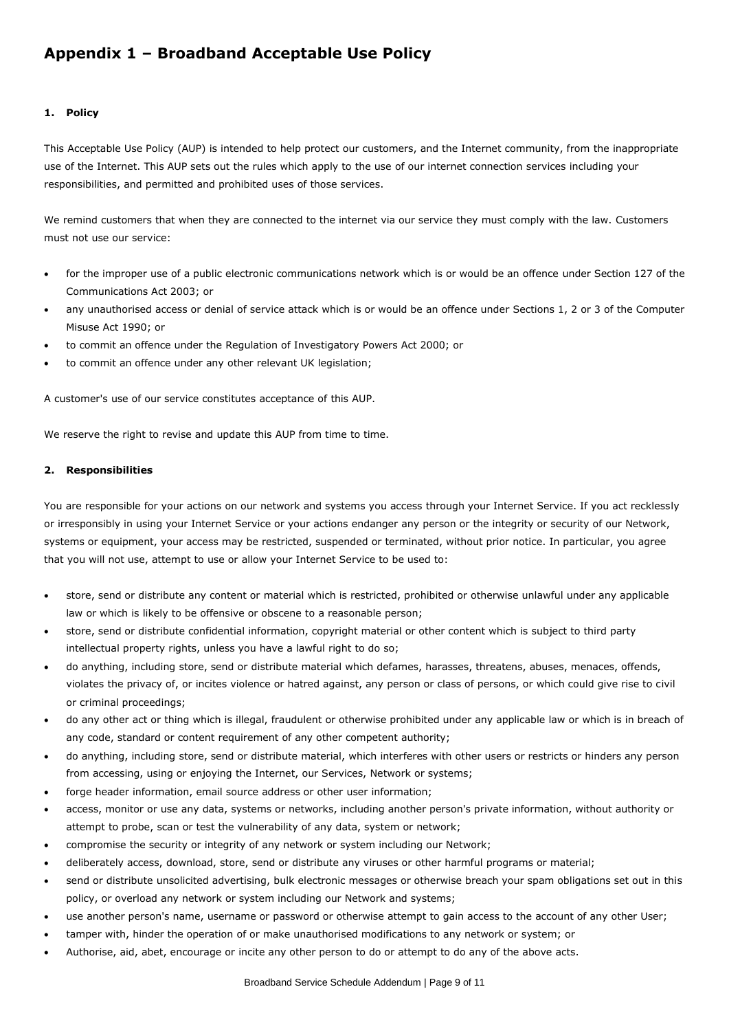# **Appendix 1 – Broadband Acceptable Use Policy**

# **1. Policy**

This Acceptable Use Policy (AUP) is intended to help protect our customers, and the Internet community, from the inappropriate use of the Internet. This AUP sets out the rules which apply to the use of our internet connection services including your responsibilities, and permitted and prohibited uses of those services.

We remind customers that when they are connected to the internet via our service they must comply with the law. Customers must not use our service:

- for the improper use of a public electronic communications network which is or would be an offence under Section 127 of the Communications Act 2003; or
- any unauthorised access or denial of service attack which is or would be an offence under Sections 1, 2 or 3 of the Computer Misuse Act 1990; or
- to commit an offence under the Regulation of Investigatory Powers Act 2000; or
- to commit an offence under any other relevant UK legislation;

A customer's use of our service constitutes acceptance of this AUP.

We reserve the right to revise and update this AUP from time to time.

#### **2. Responsibilities**

You are responsible for your actions on our network and systems you access through your Internet Service. If you act recklessly or irresponsibly in using your Internet Service or your actions endanger any person or the integrity or security of our Network, systems or equipment, your access may be restricted, suspended or terminated, without prior notice. In particular, you agree that you will not use, attempt to use or allow your Internet Service to be used to:

- store, send or distribute any content or material which is restricted, prohibited or otherwise unlawful under any applicable law or which is likely to be offensive or obscene to a reasonable person;
- store, send or distribute confidential information, copyright material or other content which is subject to third party intellectual property rights, unless you have a lawful right to do so;
- do anything, including store, send or distribute material which defames, harasses, threatens, abuses, menaces, offends, violates the privacy of, or incites violence or hatred against, any person or class of persons, or which could give rise to civil or criminal proceedings;
- do any other act or thing which is illegal, fraudulent or otherwise prohibited under any applicable law or which is in breach of any code, standard or content requirement of any other competent authority;
- do anything, including store, send or distribute material, which interferes with other users or restricts or hinders any person from accessing, using or enjoying the Internet, our Services, Network or systems;
- forge header information, email source address or other user information;
- access, monitor or use any data, systems or networks, including another person's private information, without authority or attempt to probe, scan or test the vulnerability of any data, system or network;
- compromise the security or integrity of any network or system including our Network;
- deliberately access, download, store, send or distribute any viruses or other harmful programs or material;
- send or distribute unsolicited advertising, bulk electronic messages or otherwise breach your spam obligations set out in this policy, or overload any network or system including our Network and systems;
- use another person's name, username or password or otherwise attempt to gain access to the account of any other User;
- tamper with, hinder the operation of or make unauthorised modifications to any network or system; or
- Authorise, aid, abet, encourage or incite any other person to do or attempt to do any of the above acts.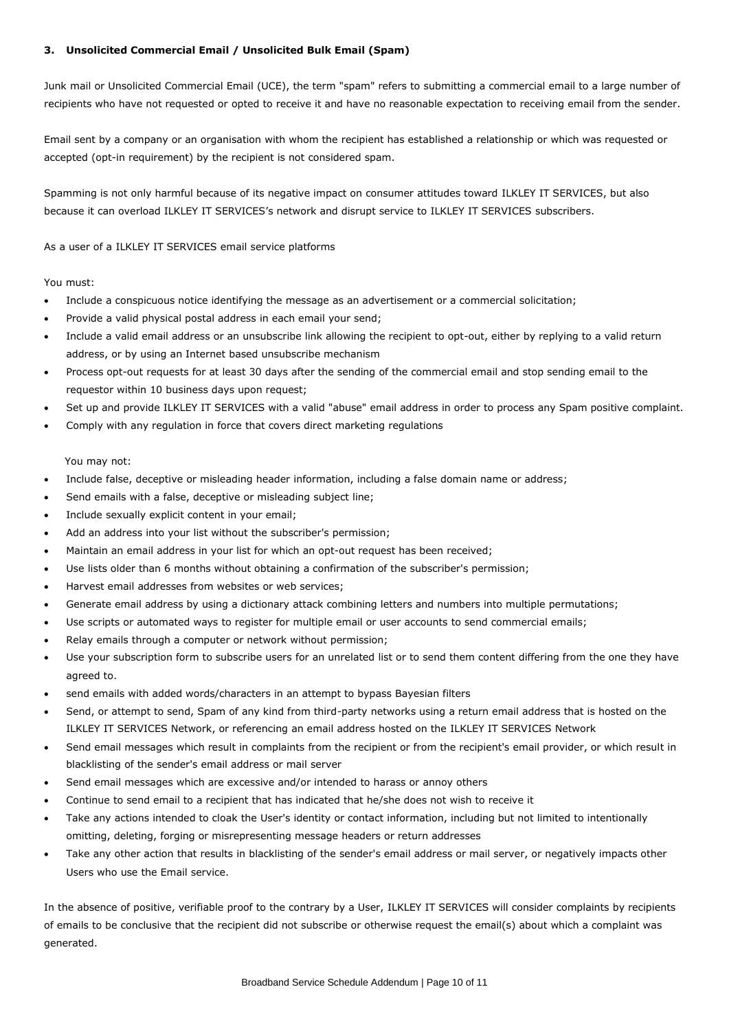# **3. Unsolicited Commercial Email / Unsolicited Bulk Email (Spam)**

Junk mail or Unsolicited Commercial Email (UCE), the term "spam" refers to submitting a commercial email to a large number of recipients who have not requested or opted to receive it and have no reasonable expectation to receiving email from the sender.

Email sent by a company or an organisation with whom the recipient has established a relationship or which was requested or accepted (opt-in requirement) by the recipient is not considered spam.

Spamming is not only harmful because of its negative impact on consumer attitudes toward ILKLEY IT SERVICES, but also because it can overload ILKLEY IT SERVICES's network and disrupt service to ILKLEY IT SERVICES subscribers.

As a user of a ILKLEY IT SERVICES email service platforms

#### You must:

- Include a conspicuous notice identifying the message as an advertisement or a commercial solicitation;
- Provide a valid physical postal address in each email your send;
- Include a valid email address or an unsubscribe link allowing the recipient to opt-out, either by replying to a valid return address, or by using an Internet based unsubscribe mechanism
- Process opt-out requests for at least 30 days after the sending of the commercial email and stop sending email to the requestor within 10 business days upon request;
- Set up and provide ILKLEY IT SERVICES with a valid "abuse" email address in order to process any Spam positive complaint.
- Comply with any regulation in force that covers direct marketing regulations

#### You may not:

- Include false, deceptive or misleading header information, including a false domain name or address;
- Send emails with a false, deceptive or misleading subject line;
- Include sexually explicit content in your email;
- Add an address into your list without the subscriber's permission;
- Maintain an email address in your list for which an opt-out request has been received;
- Use lists older than 6 months without obtaining a confirmation of the subscriber's permission;
- Harvest email addresses from websites or web services;
- Generate email address by using a dictionary attack combining letters and numbers into multiple permutations;
- Use scripts or automated ways to register for multiple email or user accounts to send commercial emails;
- Relay emails through a computer or network without permission;
- Use your subscription form to subscribe users for an unrelated list or to send them content differing from the one they have agreed to.
- send emails with added words/characters in an attempt to bypass Bayesian filters
- Send, or attempt to send, Spam of any kind from third-party networks using a return email address that is hosted on the ILKLEY IT SERVICES Network, or referencing an email address hosted on the ILKLEY IT SERVICES Network
- Send email messages which result in complaints from the recipient or from the recipient's email provider, or which result in blacklisting of the sender's email address or mail server
- Send email messages which are excessive and/or intended to harass or annoy others
- Continue to send email to a recipient that has indicated that he/she does not wish to receive it
- Take any actions intended to cloak the User's identity or contact information, including but not limited to intentionally omitting, deleting, forging or misrepresenting message headers or return addresses
- Take any other action that results in blacklisting of the sender's email address or mail server, or negatively impacts other Users who use the Email service.

In the absence of positive, verifiable proof to the contrary by a User, ILKLEY IT SERVICES will consider complaints by recipients of emails to be conclusive that the recipient did not subscribe or otherwise request the email(s) about which a complaint was generated.